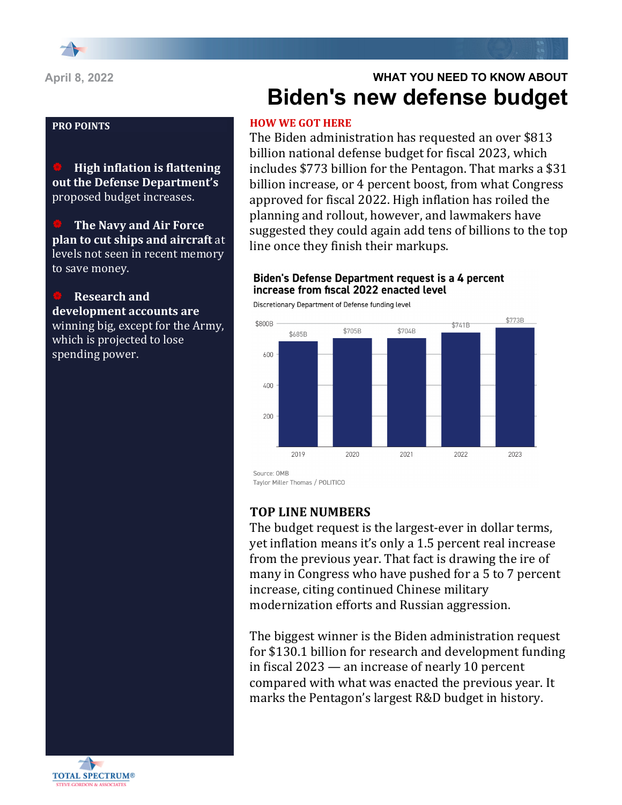**High inflation is flattening out the Defense Department's** proposed budget increases.

**The Navy and Air Force plan to cut ships and aircraft** at levels not seen in recent memory to save money.

**Research and** development accounts are winning big, except for the Army, which is projected to lose spending power.

# **WHAT YOU NEED TO KNOW ABOUT Biden's new defense budget**

### **HOW WE GOT HERE**

The Biden administration has requested an over \$813 billion national defense budget for fiscal 2023, which includes \$773 billion for the Pentagon. That marks a \$31 billion increase, or 4 percent boost, from what Congress approved for fiscal 2022. High inflation has roiled the planning and rollout, however, and lawmakers have suggested they could again add tens of billions to the top line once they finish their markups.

### Biden's Defense Department request is a 4 percent increase from fiscal 2022 enacted level

Discretionary Department of Defense funding level



Taylor Miller Thomas / POLITICO

# **TOP LINE NUMBERS**

The budget request is the largest-ever in dollar terms, yet inflation means it's only a 1.5 percent real increase from the previous year. That fact is drawing the ire of many in Congress who have pushed for a 5 to 7 percent increase, citing continued Chinese military modernization efforts and Russian aggression.

The biggest winner is the Biden administration request for \$130.1 billion for research and development funding in fiscal  $2023 -$  an increase of nearly 10 percent compared with what was enacted the previous year. It marks the Pentagon's largest R&D budget in history.

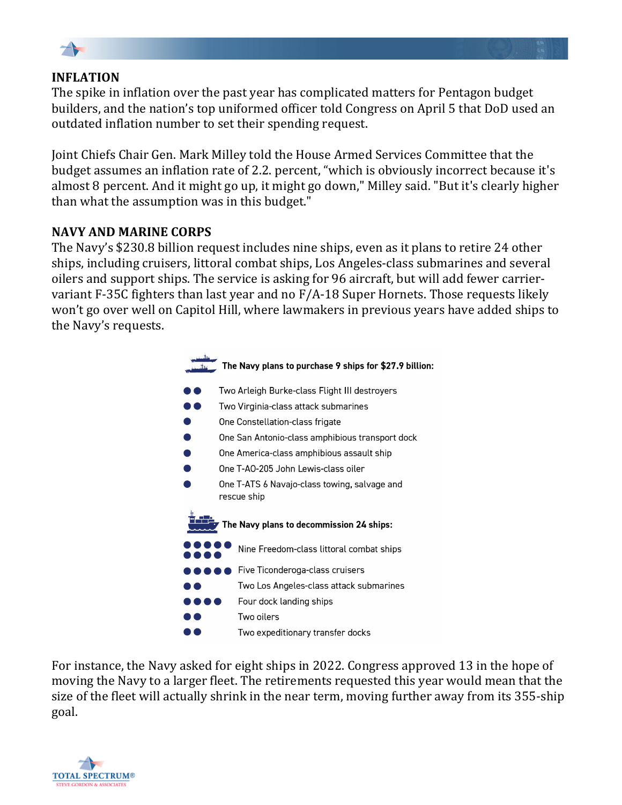

# **INFLATION**

The spike in inflation over the past year has complicated matters for Pentagon budget builders, and the nation's top uniformed officer told Congress on April 5 that DoD used an outdated inflation number to set their spending request.

Joint Chiefs Chair Gen. Mark Milley told the House Armed Services Committee that the budget assumes an inflation rate of 2.2. percent, "which is obviously incorrect because it's almost 8 percent. And it might go up, it might go down," Milley said. "But it's clearly higher than what the assumption was in this budget."

# **NAVY AND MARINE CORPS**

The Navy's \$230.8 billion request includes nine ships, even as it plans to retire 24 other ships, including cruisers, littoral combat ships, Los Angeles-class submarines and several oilers and support ships. The service is asking for 96 aircraft, but will add fewer carriervariant  $F-35C$  fighters than last year and no  $F/A-18$  Super Hornets. Those requests likely won't go over well on Capitol Hill, where lawmakers in previous years have added ships to the Navy's requests.



For instance, the Navy asked for eight ships in 2022. Congress approved 13 in the hope of moving the Navy to a larger fleet. The retirements requested this year would mean that the size of the fleet will actually shrink in the near term, moving further away from its 355-ship goal.

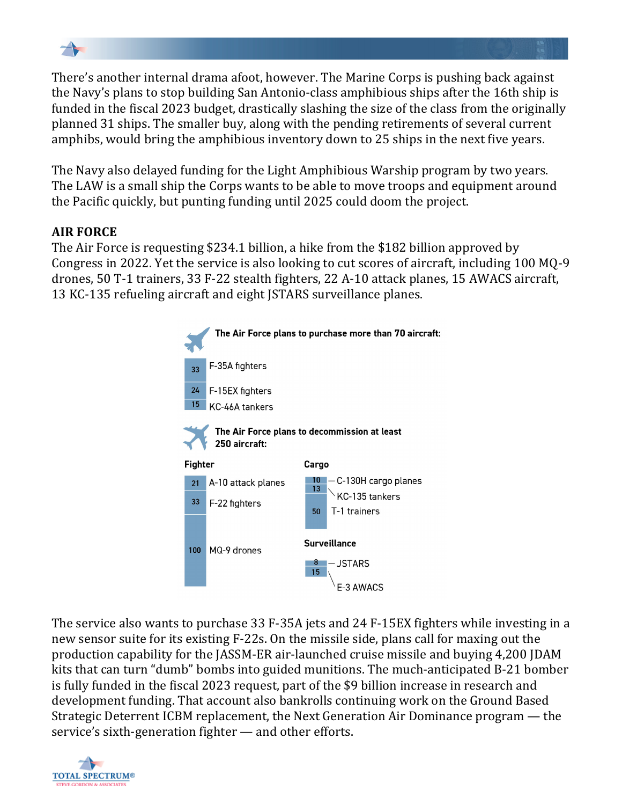

There's another internal drama afoot, however. The Marine Corps is pushing back against the Navy's plans to stop building San Antonio-class amphibious ships after the 16th ship is funded in the fiscal 2023 budget, drastically slashing the size of the class from the originally planned 31 ships. The smaller buy, along with the pending retirements of several current amphibs, would bring the amphibious inventory down to 25 ships in the next five years.

The Navy also delayed funding for the Light Amphibious Warship program by two years. The LAW is a small ship the Corps wants to be able to move troops and equipment around the Pacific quickly, but punting funding until 2025 could doom the project.

# **AIR FORCE**

The Air Force is requesting \$234.1 billion, a hike from the \$182 billion approved by Congress in 2022. Yet the service is also looking to cut scores of aircraft, including 100 MQ-9 drones, 50 T-1 trainers, 33 F-22 stealth fighters, 22 A-10 attack planes, 15 AWACS aircraft, 13 KC-135 refueling aircraft and eight JSTARS surveillance planes.



The service also wants to purchase 33 F-35A jets and 24 F-15EX fighters while investing in a new sensor suite for its existing F-22s. On the missile side, plans call for maxing out the production capability for the JASSM-ER air-launched cruise missile and buying 4,200 JDAM kits that can turn "dumb" bombs into guided munitions. The much-anticipated B-21 bomber is fully funded in the fiscal 2023 request, part of the \$9 billion increase in research and development funding. That account also bankrolls continuing work on the Ground Based Strategic Deterrent ICBM replacement, the Next Generation Air Dominance program  $-$  the service's sixth-generation fighter  $-$  and other efforts.

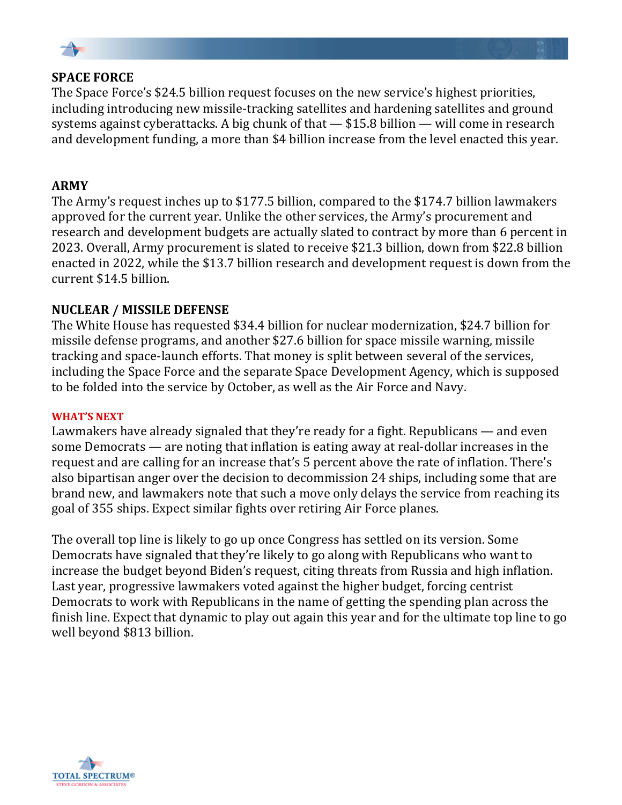

### **SPACE FORCE**

The Space Force's \$24.5 billion request focuses on the new service's highest priorities, including introducing new missile-tracking satellites and hardening satellites and ground systems against cyberattacks. A big chunk of that  $-$  \$15.8 billion  $-$  will come in research and development funding, a more than \$4 billion increase from the level enacted this year.

### **ARMY**

The Army's request inches up to \$177.5 billion, compared to the \$174.7 billion lawmakers approved for the current year. Unlike the other services, the Army's procurement and research and development budgets are actually slated to contract by more than 6 percent in 2023. Overall, Army procurement is slated to receive \$21.3 billion, down from \$22.8 billion enacted in 2022, while the \$13.7 billion research and development request is down from the current \$14.5 billion.

# **NUCLEAR / MISSILE DEFENSE**

The White House has requested \$34.4 billion for nuclear modernization, \$24.7 billion for missile defense programs, and another \$27.6 billion for space missile warning, missile tracking and space-launch efforts. That money is split between several of the services, including the Space Force and the separate Space Development Agency, which is supposed to be folded into the service by October, as well as the Air Force and Navy.

#### **WHAT'S NEXT**

Lawmakers have already signaled that they're ready for a fight. Republicans — and even some Democrats  $-$  are noting that inflation is eating away at real-dollar increases in the request and are calling for an increase that's 5 percent above the rate of inflation. There's also bipartisan anger over the decision to decommission 24 ships, including some that are brand new, and lawmakers note that such a move only delays the service from reaching its goal of 355 ships. Expect similar fights over retiring Air Force planes.

The overall top line is likely to go up once Congress has settled on its version. Some Democrats have signaled that they're likely to go along with Republicans who want to increase the budget beyond Biden's request, citing threats from Russia and high inflation. Last year, progressive lawmakers voted against the higher budget, forcing centrist Democrats to work with Republicans in the name of getting the spending plan across the finish line. Expect that dynamic to play out again this year and for the ultimate top line to go well beyond \$813 billion.